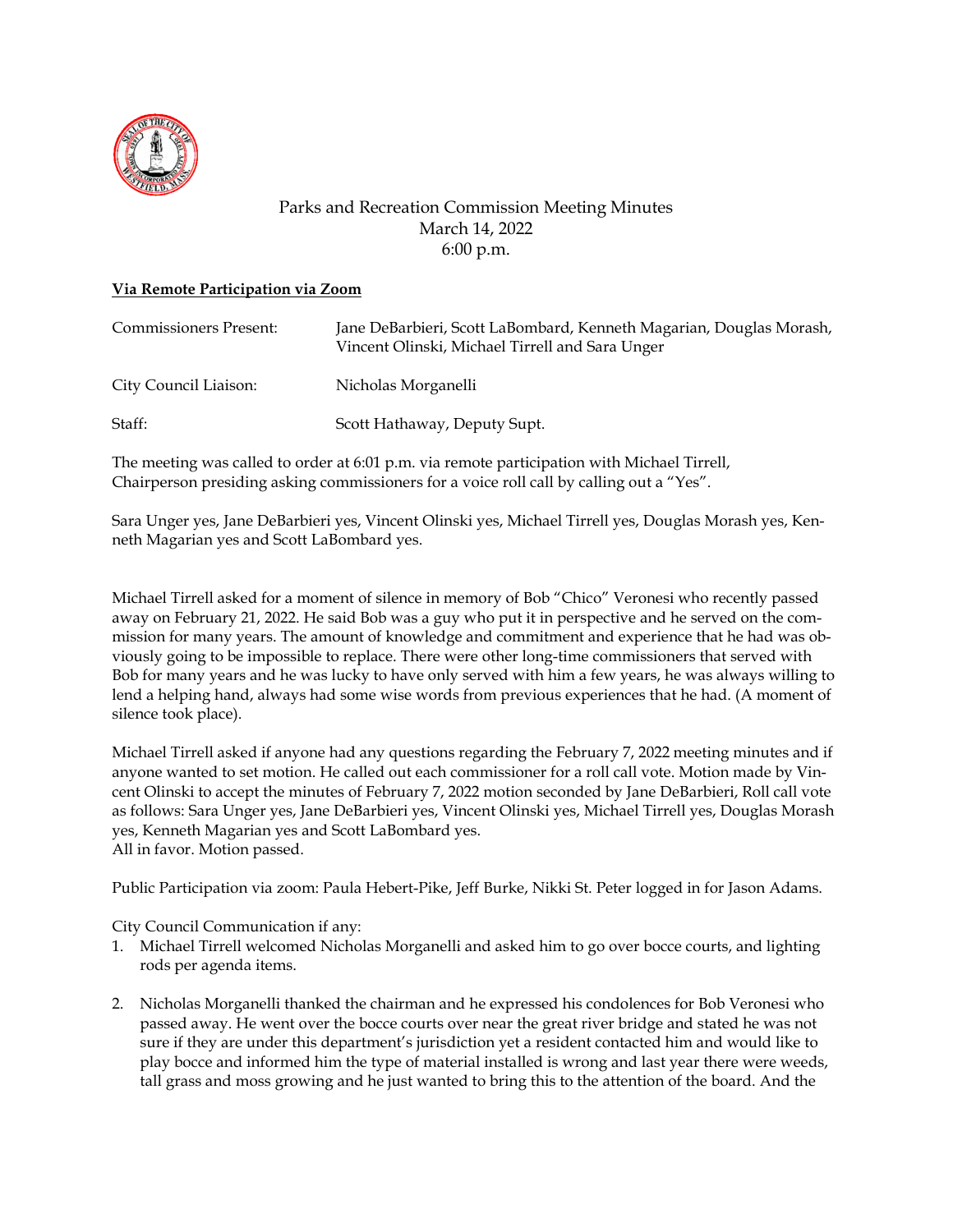

## Parks and Recreation Commission Meeting Minutes March 14, 2022 6:00 p.m.

## **Via Remote Participation via Zoom**

| <b>Commissioners Present:</b> | Jane DeBarbieri, Scott LaBombard, Kenneth Magarian, Douglas Morash,<br>Vincent Olinski, Michael Tirrell and Sara Unger |
|-------------------------------|------------------------------------------------------------------------------------------------------------------------|
| City Council Liaison:         | Nicholas Morganelli                                                                                                    |
| Staff:                        | Scott Hathaway, Deputy Supt.                                                                                           |

The meeting was called to order at 6:01 p.m. via remote participation with Michael Tirrell, Chairperson presiding asking commissioners for a voice roll call by calling out a "Yes".

Sara Unger yes, Jane DeBarbieri yes, Vincent Olinski yes, Michael Tirrell yes, Douglas Morash yes, Kenneth Magarian yes and Scott LaBombard yes.

Michael Tirrell asked for a moment of silence in memory of Bob "Chico" Veronesi who recently passed away on February 21, 2022. He said Bob was a guy who put it in perspective and he served on the commission for many years. The amount of knowledge and commitment and experience that he had was obviously going to be impossible to replace. There were other long-time commissioners that served with Bob for many years and he was lucky to have only served with him a few years, he was always willing to lend a helping hand, always had some wise words from previous experiences that he had. (A moment of silence took place).

Michael Tirrell asked if anyone had any questions regarding the February 7, 2022 meeting minutes and if anyone wanted to set motion. He called out each commissioner for a roll call vote. Motion made by Vincent Olinski to accept the minutes of February 7, 2022 motion seconded by Jane DeBarbieri, Roll call vote as follows: Sara Unger yes, Jane DeBarbieri yes, Vincent Olinski yes, Michael Tirrell yes, Douglas Morash yes, Kenneth Magarian yes and Scott LaBombard yes. All in favor. Motion passed.

Public Participation via zoom: Paula Hebert-Pike, Jeff Burke, Nikki St. Peter logged in for Jason Adams.

City Council Communication if any:

- 1. Michael Tirrell welcomed Nicholas Morganelli and asked him to go over bocce courts, and lighting rods per agenda items.
- 2. Nicholas Morganelli thanked the chairman and he expressed his condolences for Bob Veronesi who passed away. He went over the bocce courts over near the great river bridge and stated he was not sure if they are under this department's jurisdiction yet a resident contacted him and would like to play bocce and informed him the type of material installed is wrong and last year there were weeds, tall grass and moss growing and he just wanted to bring this to the attention of the board. And the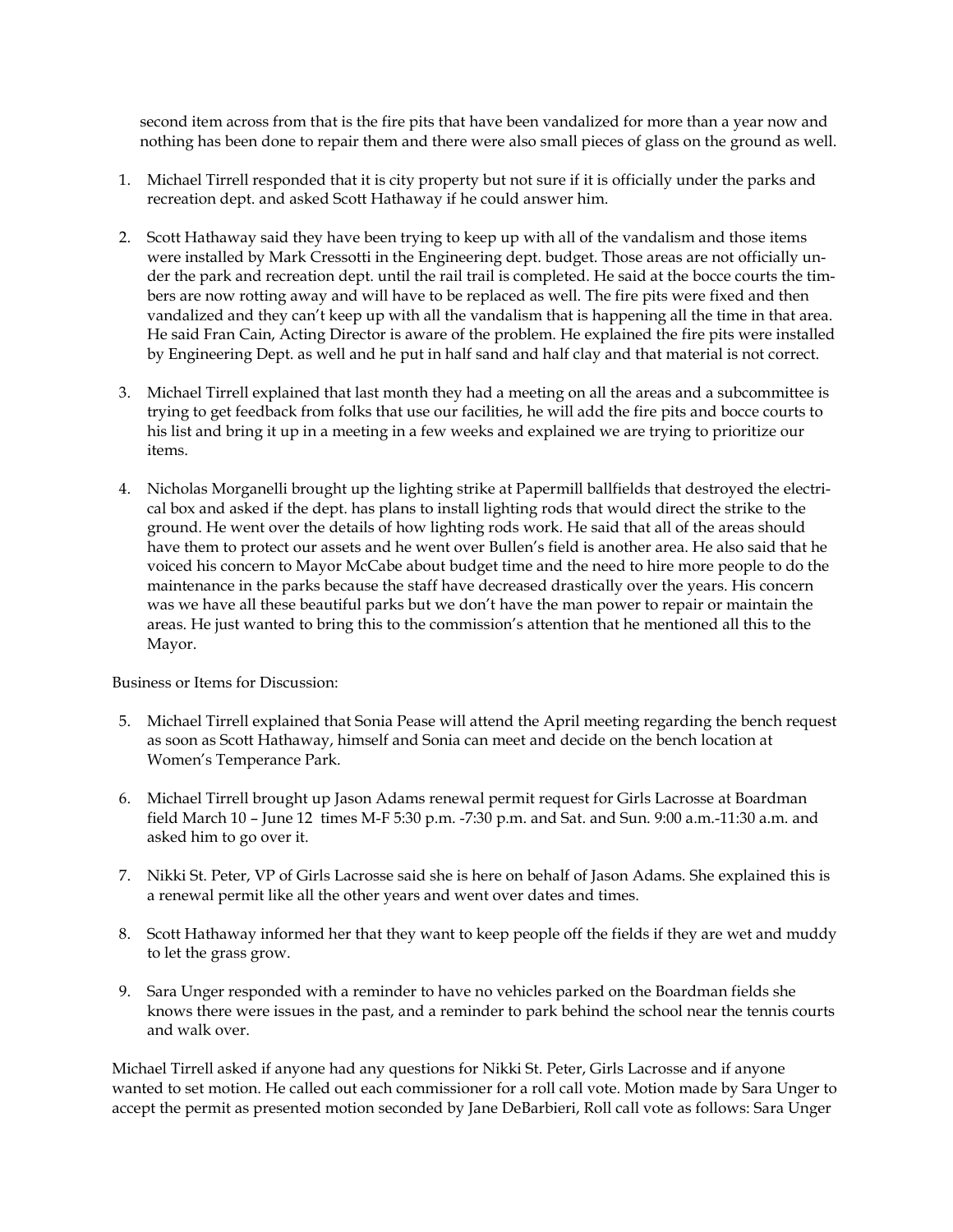second item across from that is the fire pits that have been vandalized for more than a year now and nothing has been done to repair them and there were also small pieces of glass on the ground as well.

- 1. Michael Tirrell responded that it is city property but not sure if it is officially under the parks and recreation dept. and asked Scott Hathaway if he could answer him.
- 2. Scott Hathaway said they have been trying to keep up with all of the vandalism and those items were installed by Mark Cressotti in the Engineering dept. budget. Those areas are not officially under the park and recreation dept. until the rail trail is completed. He said at the bocce courts the timbers are now rotting away and will have to be replaced as well. The fire pits were fixed and then vandalized and they can't keep up with all the vandalism that is happening all the time in that area. He said Fran Cain, Acting Director is aware of the problem. He explained the fire pits were installed by Engineering Dept. as well and he put in half sand and half clay and that material is not correct.
- 3. Michael Tirrell explained that last month they had a meeting on all the areas and a subcommittee is trying to get feedback from folks that use our facilities, he will add the fire pits and bocce courts to his list and bring it up in a meeting in a few weeks and explained we are trying to prioritize our items.
- 4. Nicholas Morganelli brought up the lighting strike at Papermill ballfields that destroyed the electrical box and asked if the dept. has plans to install lighting rods that would direct the strike to the ground. He went over the details of how lighting rods work. He said that all of the areas should have them to protect our assets and he went over Bullen's field is another area. He also said that he voiced his concern to Mayor McCabe about budget time and the need to hire more people to do the maintenance in the parks because the staff have decreased drastically over the years. His concern was we have all these beautiful parks but we don't have the man power to repair or maintain the areas. He just wanted to bring this to the commission's attention that he mentioned all this to the Mayor.

Business or Items for Discussion:

- 5. Michael Tirrell explained that Sonia Pease will attend the April meeting regarding the bench request as soon as Scott Hathaway, himself and Sonia can meet and decide on the bench location at Women's Temperance Park.
- 6. Michael Tirrell brought up Jason Adams renewal permit request for Girls Lacrosse at Boardman field March 10 – June 12 times M-F 5:30 p.m. -7:30 p.m. and Sat. and Sun. 9:00 a.m.-11:30 a.m. and asked him to go over it.
- 7. Nikki St. Peter, VP of Girls Lacrosse said she is here on behalf of Jason Adams. She explained this is a renewal permit like all the other years and went over dates and times.
- 8. Scott Hathaway informed her that they want to keep people off the fields if they are wet and muddy to let the grass grow.
- 9. Sara Unger responded with a reminder to have no vehicles parked on the Boardman fields she knows there were issues in the past, and a reminder to park behind the school near the tennis courts and walk over.

Michael Tirrell asked if anyone had any questions for Nikki St. Peter, Girls Lacrosse and if anyone wanted to set motion. He called out each commissioner for a roll call vote. Motion made by Sara Unger to accept the permit as presented motion seconded by Jane DeBarbieri, Roll call vote as follows: Sara Unger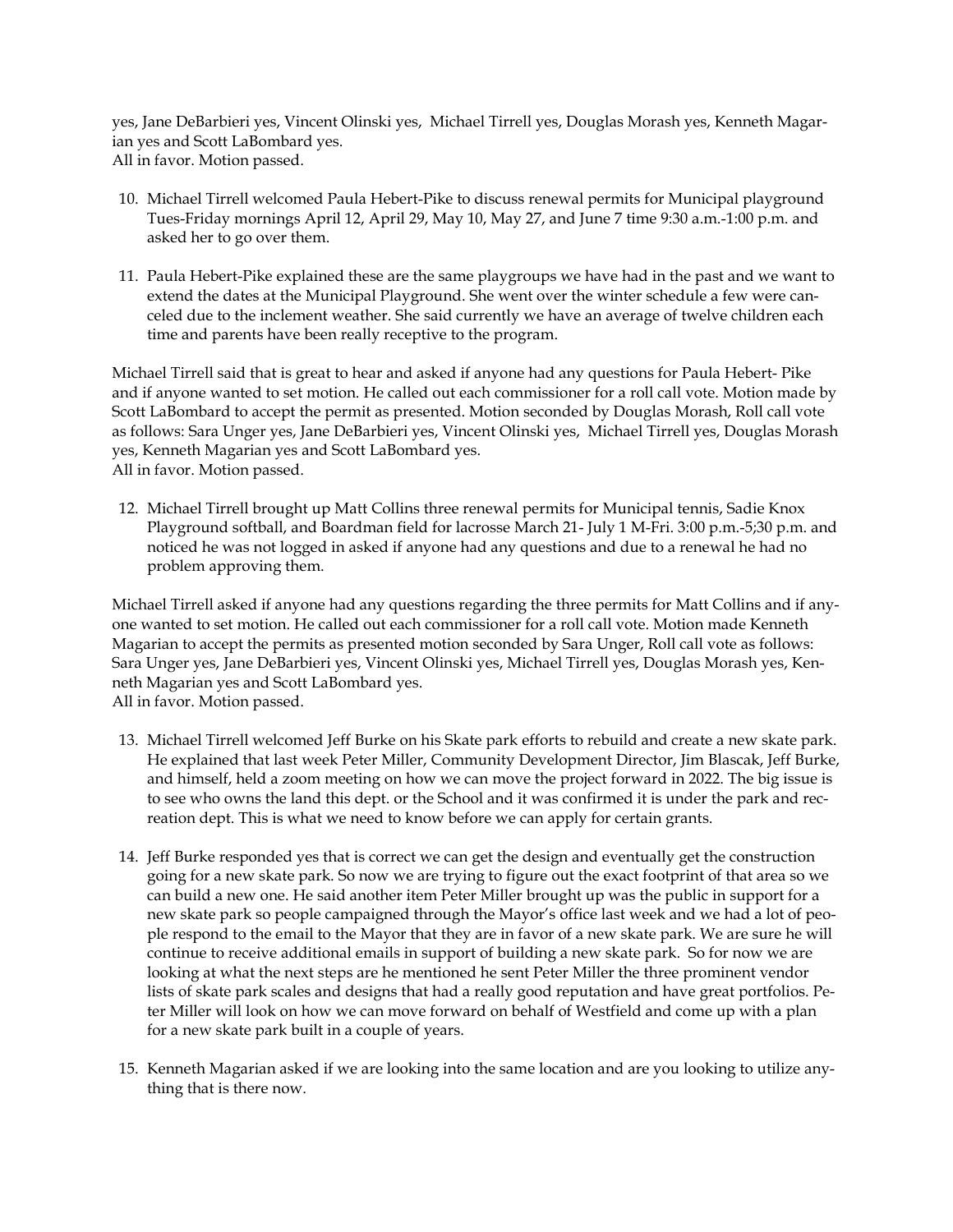yes, Jane DeBarbieri yes, Vincent Olinski yes, Michael Tirrell yes, Douglas Morash yes, Kenneth Magarian yes and Scott LaBombard yes. All in favor. Motion passed.

- 10. Michael Tirrell welcomed Paula Hebert-Pike to discuss renewal permits for Municipal playground Tues-Friday mornings April 12, April 29, May 10, May 27, and June 7 time 9:30 a.m.-1:00 p.m. and asked her to go over them.
- 11. Paula Hebert-Pike explained these are the same playgroups we have had in the past and we want to extend the dates at the Municipal Playground. She went over the winter schedule a few were canceled due to the inclement weather. She said currently we have an average of twelve children each time and parents have been really receptive to the program.

Michael Tirrell said that is great to hear and asked if anyone had any questions for Paula Hebert- Pike and if anyone wanted to set motion. He called out each commissioner for a roll call vote. Motion made by Scott LaBombard to accept the permit as presented. Motion seconded by Douglas Morash, Roll call vote as follows: Sara Unger yes, Jane DeBarbieri yes, Vincent Olinski yes, Michael Tirrell yes, Douglas Morash yes, Kenneth Magarian yes and Scott LaBombard yes. All in favor. Motion passed.

12. Michael Tirrell brought up Matt Collins three renewal permits for Municipal tennis, Sadie Knox Playground softball, and Boardman field for lacrosse March 21- July 1 M-Fri. 3:00 p.m.-5;30 p.m. and noticed he was not logged in asked if anyone had any questions and due to a renewal he had no problem approving them.

Michael Tirrell asked if anyone had any questions regarding the three permits for Matt Collins and if anyone wanted to set motion. He called out each commissioner for a roll call vote. Motion made Kenneth Magarian to accept the permits as presented motion seconded by Sara Unger, Roll call vote as follows: Sara Unger yes, Jane DeBarbieri yes, Vincent Olinski yes, Michael Tirrell yes, Douglas Morash yes, Kenneth Magarian yes and Scott LaBombard yes. All in favor. Motion passed.

- 13. Michael Tirrell welcomed Jeff Burke on his Skate park efforts to rebuild and create a new skate park. He explained that last week Peter Miller, Community Development Director, Jim Blascak, Jeff Burke, and himself, held a zoom meeting on how we can move the project forward in 2022. The big issue is to see who owns the land this dept. or the School and it was confirmed it is under the park and recreation dept. This is what we need to know before we can apply for certain grants.
- 14. Jeff Burke responded yes that is correct we can get the design and eventually get the construction going for a new skate park. So now we are trying to figure out the exact footprint of that area so we can build a new one. He said another item Peter Miller brought up was the public in support for a new skate park so people campaigned through the Mayor's office last week and we had a lot of people respond to the email to the Mayor that they are in favor of a new skate park. We are sure he will continue to receive additional emails in support of building a new skate park. So for now we are looking at what the next steps are he mentioned he sent Peter Miller the three prominent vendor lists of skate park scales and designs that had a really good reputation and have great portfolios. Peter Miller will look on how we can move forward on behalf of Westfield and come up with a plan for a new skate park built in a couple of years.
- 15. Kenneth Magarian asked if we are looking into the same location and are you looking to utilize anything that is there now.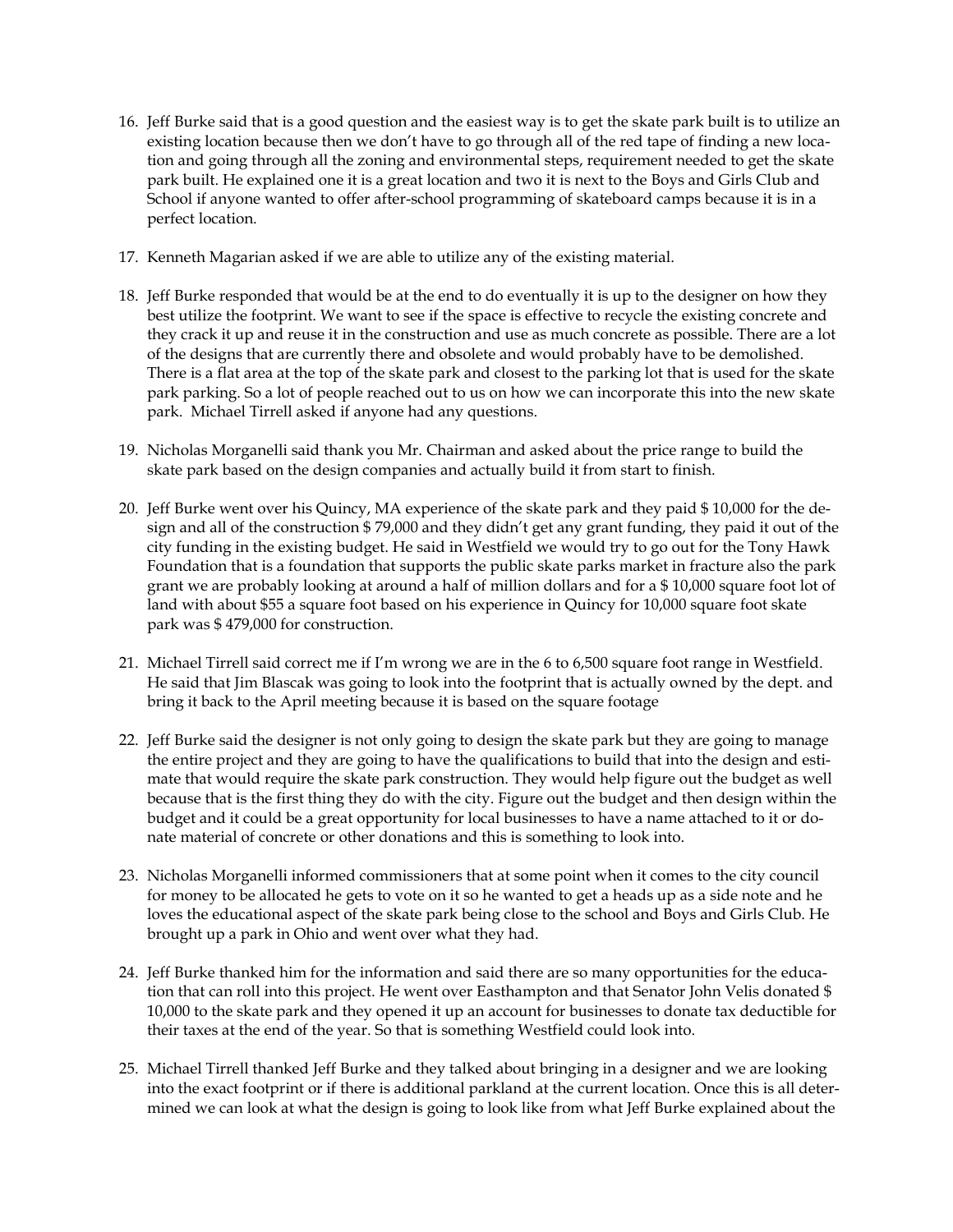- 16. Jeff Burke said that is a good question and the easiest way is to get the skate park built is to utilize an existing location because then we don't have to go through all of the red tape of finding a new location and going through all the zoning and environmental steps, requirement needed to get the skate park built. He explained one it is a great location and two it is next to the Boys and Girls Club and School if anyone wanted to offer after-school programming of skateboard camps because it is in a perfect location.
- 17. Kenneth Magarian asked if we are able to utilize any of the existing material.
- 18. Jeff Burke responded that would be at the end to do eventually it is up to the designer on how they best utilize the footprint. We want to see if the space is effective to recycle the existing concrete and they crack it up and reuse it in the construction and use as much concrete as possible. There are a lot of the designs that are currently there and obsolete and would probably have to be demolished. There is a flat area at the top of the skate park and closest to the parking lot that is used for the skate park parking. So a lot of people reached out to us on how we can incorporate this into the new skate park. Michael Tirrell asked if anyone had any questions.
- 19. Nicholas Morganelli said thank you Mr. Chairman and asked about the price range to build the skate park based on the design companies and actually build it from start to finish.
- 20. Jeff Burke went over his Quincy, MA experience of the skate park and they paid \$ 10,000 for the design and all of the construction \$ 79,000 and they didn't get any grant funding, they paid it out of the city funding in the existing budget. He said in Westfield we would try to go out for the Tony Hawk Foundation that is a foundation that supports the public skate parks market in fracture also the park grant we are probably looking at around a half of million dollars and for a \$ 10,000 square foot lot of land with about \$55 a square foot based on his experience in Quincy for 10,000 square foot skate park was \$ 479,000 for construction.
- 21. Michael Tirrell said correct me if I'm wrong we are in the 6 to 6,500 square foot range in Westfield. He said that Jim Blascak was going to look into the footprint that is actually owned by the dept. and bring it back to the April meeting because it is based on the square footage
- 22. Jeff Burke said the designer is not only going to design the skate park but they are going to manage the entire project and they are going to have the qualifications to build that into the design and estimate that would require the skate park construction. They would help figure out the budget as well because that is the first thing they do with the city. Figure out the budget and then design within the budget and it could be a great opportunity for local businesses to have a name attached to it or donate material of concrete or other donations and this is something to look into.
- 23. Nicholas Morganelli informed commissioners that at some point when it comes to the city council for money to be allocated he gets to vote on it so he wanted to get a heads up as a side note and he loves the educational aspect of the skate park being close to the school and Boys and Girls Club. He brought up a park in Ohio and went over what they had.
- 24. Jeff Burke thanked him for the information and said there are so many opportunities for the education that can roll into this project. He went over Easthampton and that Senator John Velis donated \$ 10,000 to the skate park and they opened it up an account for businesses to donate tax deductible for their taxes at the end of the year. So that is something Westfield could look into.
- 25. Michael Tirrell thanked Jeff Burke and they talked about bringing in a designer and we are looking into the exact footprint or if there is additional parkland at the current location. Once this is all determined we can look at what the design is going to look like from what Jeff Burke explained about the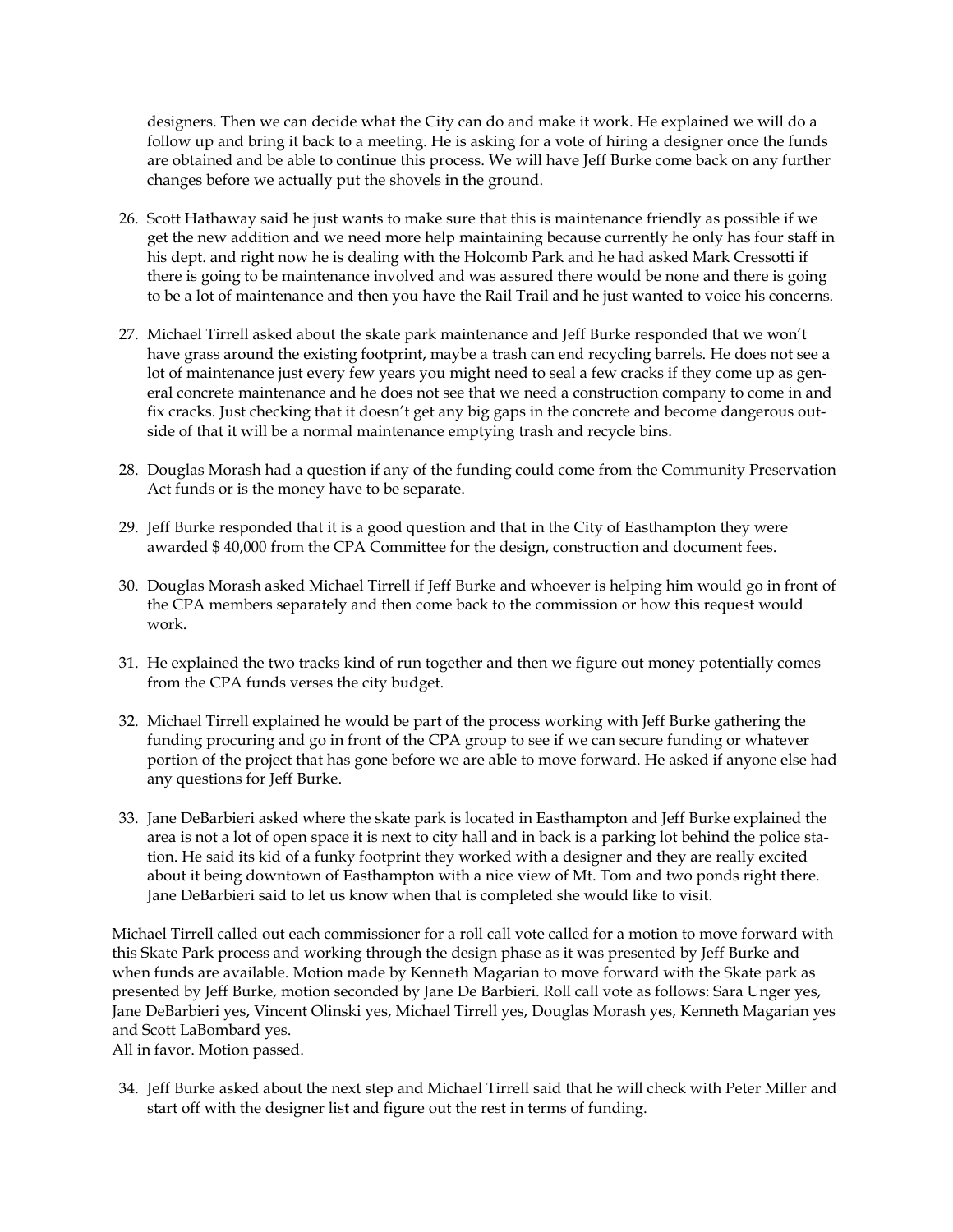designers. Then we can decide what the City can do and make it work. He explained we will do a follow up and bring it back to a meeting. He is asking for a vote of hiring a designer once the funds are obtained and be able to continue this process. We will have Jeff Burke come back on any further changes before we actually put the shovels in the ground.

- 26. Scott Hathaway said he just wants to make sure that this is maintenance friendly as possible if we get the new addition and we need more help maintaining because currently he only has four staff in his dept. and right now he is dealing with the Holcomb Park and he had asked Mark Cressotti if there is going to be maintenance involved and was assured there would be none and there is going to be a lot of maintenance and then you have the Rail Trail and he just wanted to voice his concerns.
- 27. Michael Tirrell asked about the skate park maintenance and Jeff Burke responded that we won't have grass around the existing footprint, maybe a trash can end recycling barrels. He does not see a lot of maintenance just every few years you might need to seal a few cracks if they come up as general concrete maintenance and he does not see that we need a construction company to come in and fix cracks. Just checking that it doesn't get any big gaps in the concrete and become dangerous outside of that it will be a normal maintenance emptying trash and recycle bins.
- 28. Douglas Morash had a question if any of the funding could come from the Community Preservation Act funds or is the money have to be separate.
- 29. Jeff Burke responded that it is a good question and that in the City of Easthampton they were awarded \$ 40,000 from the CPA Committee for the design, construction and document fees.
- 30. Douglas Morash asked Michael Tirrell if Jeff Burke and whoever is helping him would go in front of the CPA members separately and then come back to the commission or how this request would work.
- 31. He explained the two tracks kind of run together and then we figure out money potentially comes from the CPA funds verses the city budget.
- 32. Michael Tirrell explained he would be part of the process working with Jeff Burke gathering the funding procuring and go in front of the CPA group to see if we can secure funding or whatever portion of the project that has gone before we are able to move forward. He asked if anyone else had any questions for Jeff Burke.
- 33. Jane DeBarbieri asked where the skate park is located in Easthampton and Jeff Burke explained the area is not a lot of open space it is next to city hall and in back is a parking lot behind the police station. He said its kid of a funky footprint they worked with a designer and they are really excited about it being downtown of Easthampton with a nice view of Mt. Tom and two ponds right there. Jane DeBarbieri said to let us know when that is completed she would like to visit.

Michael Tirrell called out each commissioner for a roll call vote called for a motion to move forward with this Skate Park process and working through the design phase as it was presented by Jeff Burke and when funds are available. Motion made by Kenneth Magarian to move forward with the Skate park as presented by Jeff Burke, motion seconded by Jane De Barbieri. Roll call vote as follows: Sara Unger yes, Jane DeBarbieri yes, Vincent Olinski yes, Michael Tirrell yes, Douglas Morash yes, Kenneth Magarian yes and Scott LaBombard yes.

All in favor. Motion passed.

34. Jeff Burke asked about the next step and Michael Tirrell said that he will check with Peter Miller and start off with the designer list and figure out the rest in terms of funding.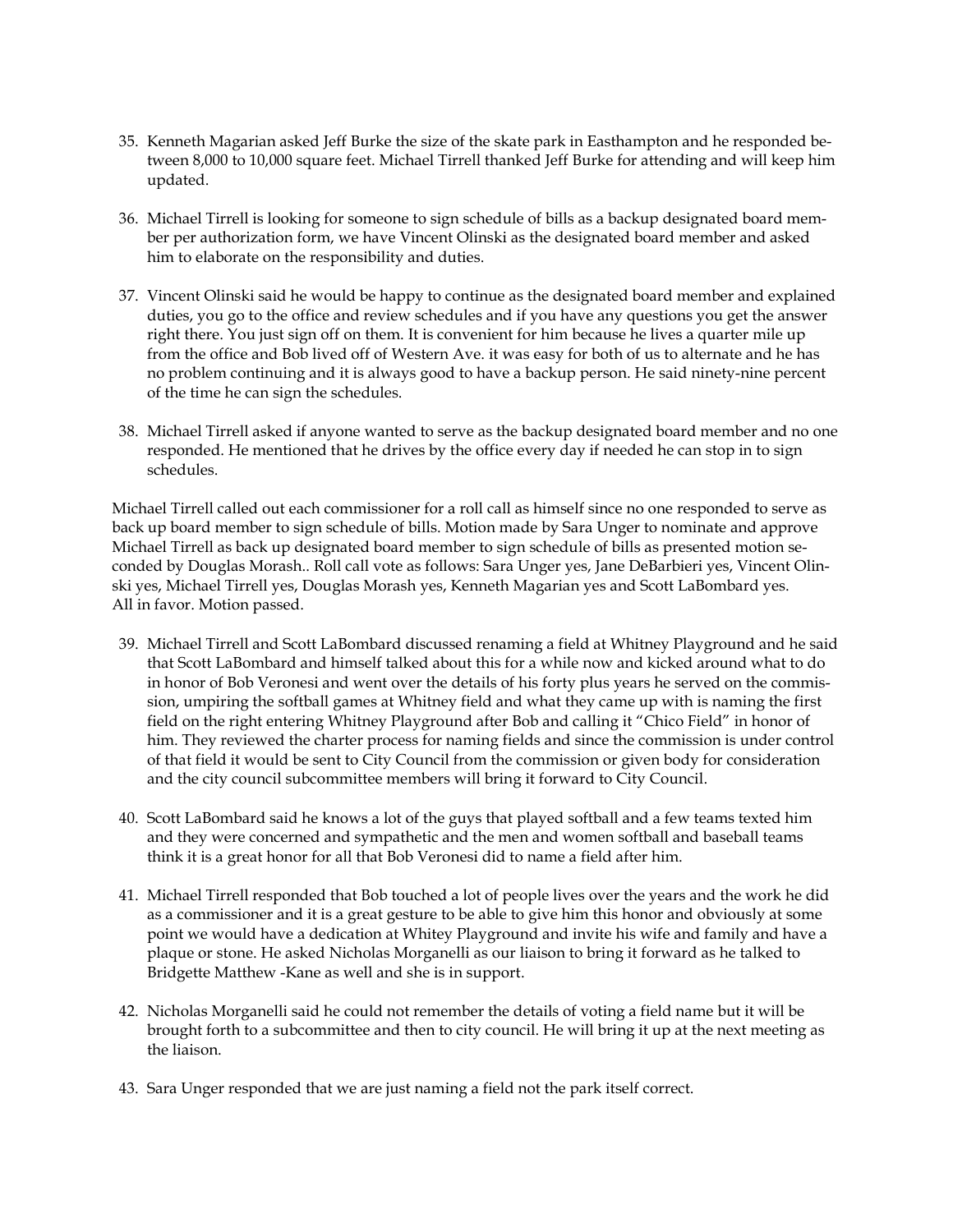- 35. Kenneth Magarian asked Jeff Burke the size of the skate park in Easthampton and he responded between 8,000 to 10,000 square feet. Michael Tirrell thanked Jeff Burke for attending and will keep him updated.
- 36. Michael Tirrell is looking for someone to sign schedule of bills as a backup designated board member per authorization form, we have Vincent Olinski as the designated board member and asked him to elaborate on the responsibility and duties.
- 37. Vincent Olinski said he would be happy to continue as the designated board member and explained duties, you go to the office and review schedules and if you have any questions you get the answer right there. You just sign off on them. It is convenient for him because he lives a quarter mile up from the office and Bob lived off of Western Ave. it was easy for both of us to alternate and he has no problem continuing and it is always good to have a backup person. He said ninety-nine percent of the time he can sign the schedules.
- 38. Michael Tirrell asked if anyone wanted to serve as the backup designated board member and no one responded. He mentioned that he drives by the office every day if needed he can stop in to sign schedules.

Michael Tirrell called out each commissioner for a roll call as himself since no one responded to serve as back up board member to sign schedule of bills. Motion made by Sara Unger to nominate and approve Michael Tirrell as back up designated board member to sign schedule of bills as presented motion seconded by Douglas Morash.. Roll call vote as follows: Sara Unger yes, Jane DeBarbieri yes, Vincent Olinski yes, Michael Tirrell yes, Douglas Morash yes, Kenneth Magarian yes and Scott LaBombard yes. All in favor. Motion passed.

- 39. Michael Tirrell and Scott LaBombard discussed renaming a field at Whitney Playground and he said that Scott LaBombard and himself talked about this for a while now and kicked around what to do in honor of Bob Veronesi and went over the details of his forty plus years he served on the commission, umpiring the softball games at Whitney field and what they came up with is naming the first field on the right entering Whitney Playground after Bob and calling it "Chico Field" in honor of him. They reviewed the charter process for naming fields and since the commission is under control of that field it would be sent to City Council from the commission or given body for consideration and the city council subcommittee members will bring it forward to City Council.
- 40. Scott LaBombard said he knows a lot of the guys that played softball and a few teams texted him and they were concerned and sympathetic and the men and women softball and baseball teams think it is a great honor for all that Bob Veronesi did to name a field after him.
- 41. Michael Tirrell responded that Bob touched a lot of people lives over the years and the work he did as a commissioner and it is a great gesture to be able to give him this honor and obviously at some point we would have a dedication at Whitey Playground and invite his wife and family and have a plaque or stone. He asked Nicholas Morganelli as our liaison to bring it forward as he talked to Bridgette Matthew -Kane as well and she is in support.
- 42. Nicholas Morganelli said he could not remember the details of voting a field name but it will be brought forth to a subcommittee and then to city council. He will bring it up at the next meeting as the liaison.
- 43. Sara Unger responded that we are just naming a field not the park itself correct.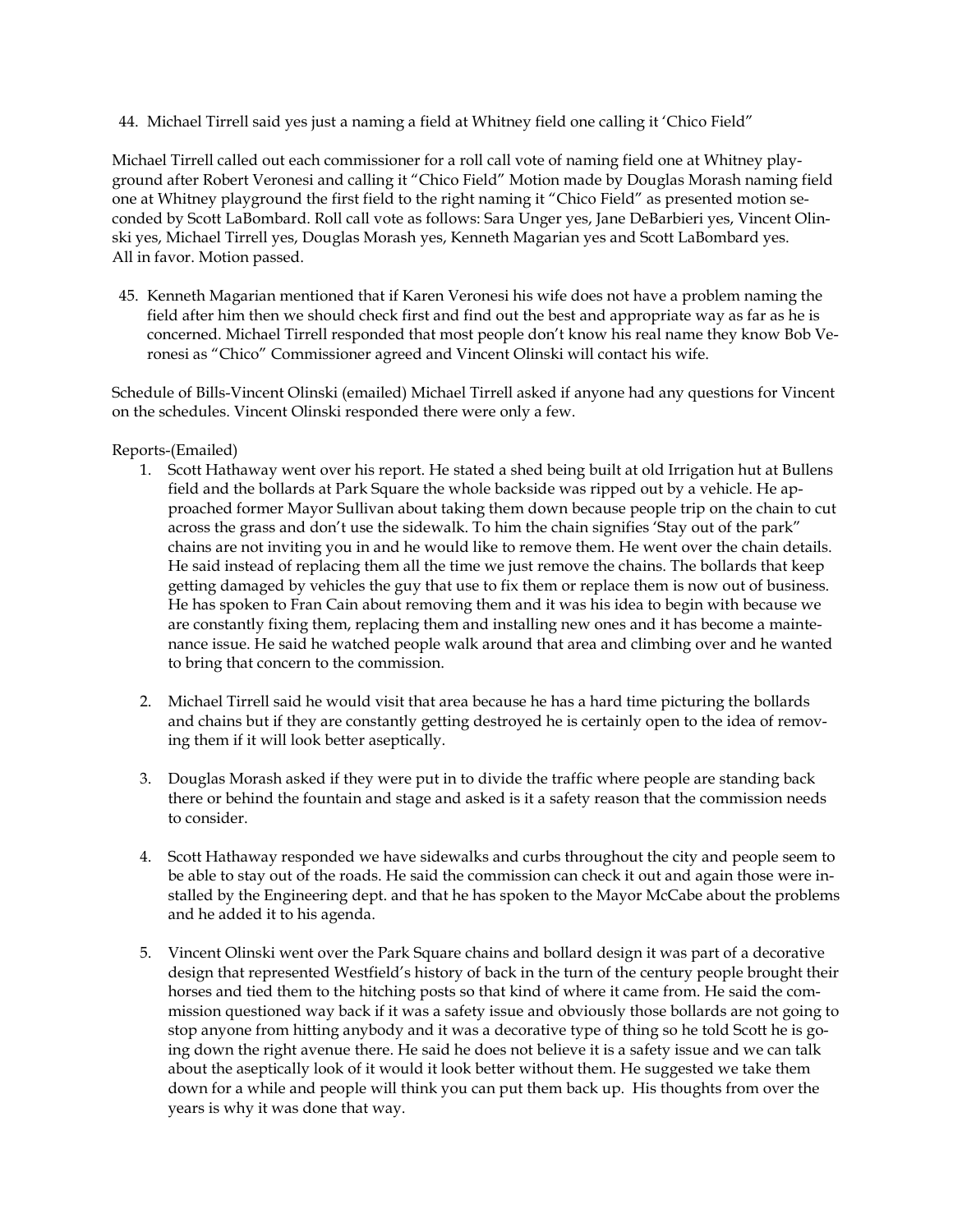44. Michael Tirrell said yes just a naming a field at Whitney field one calling it 'Chico Field"

Michael Tirrell called out each commissioner for a roll call vote of naming field one at Whitney playground after Robert Veronesi and calling it "Chico Field" Motion made by Douglas Morash naming field one at Whitney playground the first field to the right naming it "Chico Field" as presented motion seconded by Scott LaBombard. Roll call vote as follows: Sara Unger yes, Jane DeBarbieri yes, Vincent Olinski yes, Michael Tirrell yes, Douglas Morash yes, Kenneth Magarian yes and Scott LaBombard yes. All in favor. Motion passed.

45. Kenneth Magarian mentioned that if Karen Veronesi his wife does not have a problem naming the field after him then we should check first and find out the best and appropriate way as far as he is concerned. Michael Tirrell responded that most people don't know his real name they know Bob Veronesi as "Chico" Commissioner agreed and Vincent Olinski will contact his wife.

Schedule of Bills-Vincent Olinski (emailed) Michael Tirrell asked if anyone had any questions for Vincent on the schedules. Vincent Olinski responded there were only a few.

## Reports-(Emailed)

- 1. Scott Hathaway went over his report. He stated a shed being built at old Irrigation hut at Bullens field and the bollards at Park Square the whole backside was ripped out by a vehicle. He approached former Mayor Sullivan about taking them down because people trip on the chain to cut across the grass and don't use the sidewalk. To him the chain signifies 'Stay out of the park" chains are not inviting you in and he would like to remove them. He went over the chain details. He said instead of replacing them all the time we just remove the chains. The bollards that keep getting damaged by vehicles the guy that use to fix them or replace them is now out of business. He has spoken to Fran Cain about removing them and it was his idea to begin with because we are constantly fixing them, replacing them and installing new ones and it has become a maintenance issue. He said he watched people walk around that area and climbing over and he wanted to bring that concern to the commission.
- 2. Michael Tirrell said he would visit that area because he has a hard time picturing the bollards and chains but if they are constantly getting destroyed he is certainly open to the idea of removing them if it will look better aseptically.
- 3. Douglas Morash asked if they were put in to divide the traffic where people are standing back there or behind the fountain and stage and asked is it a safety reason that the commission needs to consider.
- 4. Scott Hathaway responded we have sidewalks and curbs throughout the city and people seem to be able to stay out of the roads. He said the commission can check it out and again those were installed by the Engineering dept. and that he has spoken to the Mayor McCabe about the problems and he added it to his agenda.
- 5. Vincent Olinski went over the Park Square chains and bollard design it was part of a decorative design that represented Westfield's history of back in the turn of the century people brought their horses and tied them to the hitching posts so that kind of where it came from. He said the commission questioned way back if it was a safety issue and obviously those bollards are not going to stop anyone from hitting anybody and it was a decorative type of thing so he told Scott he is going down the right avenue there. He said he does not believe it is a safety issue and we can talk about the aseptically look of it would it look better without them. He suggested we take them down for a while and people will think you can put them back up. His thoughts from over the years is why it was done that way.